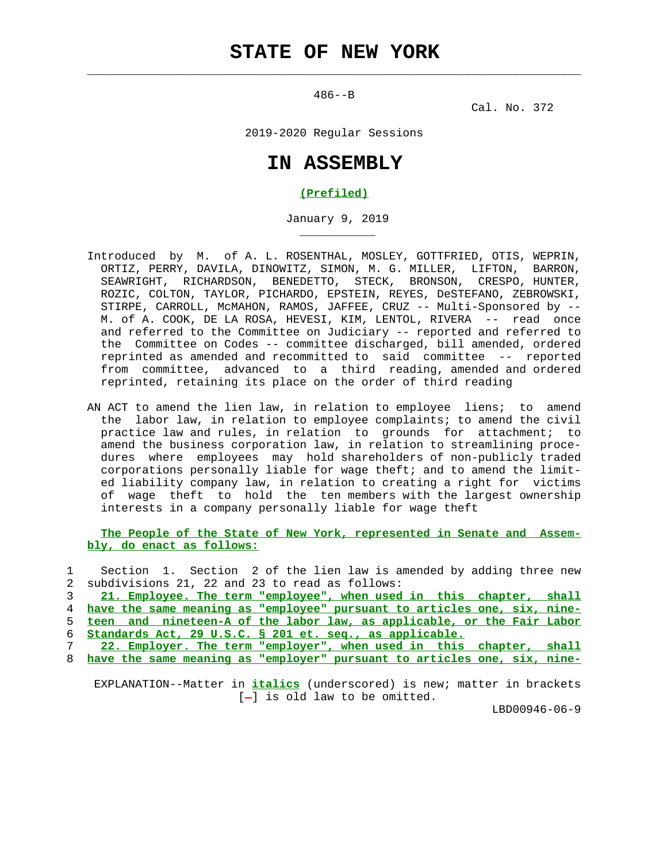$\mathcal{L}_\text{max} = \frac{1}{2} \sum_{i=1}^{n} \frac{1}{2} \sum_{i=1}^{n} \frac{1}{2} \sum_{i=1}^{n} \frac{1}{2} \sum_{i=1}^{n} \frac{1}{2} \sum_{i=1}^{n} \frac{1}{2} \sum_{i=1}^{n} \frac{1}{2} \sum_{i=1}^{n} \frac{1}{2} \sum_{i=1}^{n} \frac{1}{2} \sum_{i=1}^{n} \frac{1}{2} \sum_{i=1}^{n} \frac{1}{2} \sum_{i=1}^{n} \frac{1}{2} \sum_{i=1}^{n} \frac{1$ 

\_\_\_\_\_\_\_\_\_\_\_

## 486--B

Cal. No. 372

2019-2020 Regular Sessions

## **IN ASSEMBLY**

## **(Prefiled)**

January 9, 2019

- Introduced by M. of A. L. ROSENTHAL, MOSLEY, GOTTFRIED, OTIS, WEPRIN, ORTIZ, PERRY, DAVILA, DINOWITZ, SIMON, M. G. MILLER, LIFTON, BARRON, SEAWRIGHT, RICHARDSON, BENEDETTO, STECK, BRONSON, CRESPO, HUNTER, ROZIC, COLTON, TAYLOR, PICHARDO, EPSTEIN, REYES, DeSTEFANO, ZEBROWSKI, STIRPE, CARROLL, McMAHON, RAMOS, JAFFEE, CRUZ -- Multi-Sponsored by -- M. of A. COOK, DE LA ROSA, HEVESI, KIM, LENTOL, RIVERA -- read once and referred to the Committee on Judiciary -- reported and referred to the Committee on Codes -- committee discharged, bill amended, ordered reprinted as amended and recommitted to said committee -- reported from committee, advanced to a third reading, amended and ordered reprinted, retaining its place on the order of third reading
- AN ACT to amend the lien law, in relation to employee liens; to amend the labor law, in relation to employee complaints; to amend the civil practice law and rules, in relation to grounds for attachment; to amend the business corporation law, in relation to streamlining proce dures where employees may hold shareholders of non-publicly traded corporations personally liable for wage theft; and to amend the limit ed liability company law, in relation to creating a right for victims of wage theft to hold the ten members with the largest ownership interests in a company personally liable for wage theft

 **The People of the State of New York, represented in Senate and Assem bly, do enact as follows:**

 1 Section 1. Section 2 of the lien law is amended by adding three new 2 subdivisions 21, 22 and 23 to read as follows:

**21. Employee. The term "employee", when used in this chapter, shall have the same meaning as "employee" pursuant to articles one, six, nine- teen and nineteen-A of the labor law, as applicable, or the Fair Labor Standards Act, 29 U.S.C. § 201 et. seq., as applicable. 22. Employer. The term "employer", when used in this chapter, shall**

8 **have the same meaning as "employer" pursuant to articles one, six, nine-**

 EXPLANATION--Matter in **italics** (underscored) is new; matter in brackets [-] is old law to be omitted.

LBD00946-06-9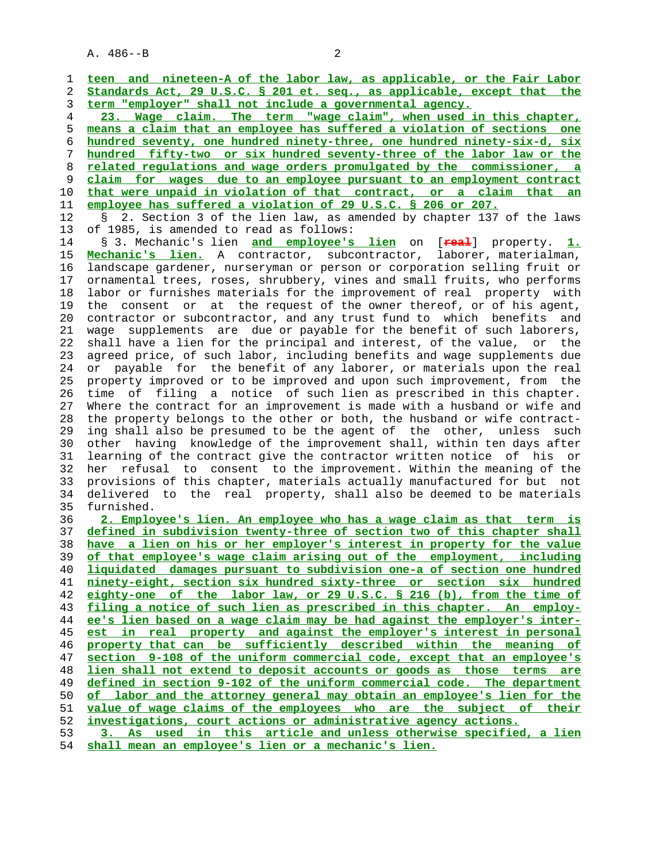A. 486--B 2

 1 **teen and nineteen-A of the labor law, as applicable, or the Fair Labor** 2 **Standards Act, 29 U.S.C. § 201 et. seq., as applicable, except that the** 3 **term "employer" shall not include a governmental agency.**

**23. Wage claim. The term "wage claim", when used in this chapter, means a claim that an employee has suffered a violation of sections one hundred seventy, one hundred ninety-three, one hundred ninety-six-d, six hundred fifty-two or six hundred seventy-three of the labor law or the related regulations and wage orders promulgated by the commissioner, a claim for wages due to an employee pursuant to an employment contract that were unpaid in violation of that contract, or a claim that an employee has suffered a violation of 29 U.S.C. § 206 or 207.**

 12 § 2. Section 3 of the lien law, as amended by chapter 137 of the laws 13 of 1985, is amended to read as follows:

 14 § 3. Mechanic's lien **and employee's lien** on [**real**] property. **1.** 15 **Mechanic's lien.** A contractor, subcontractor, laborer, materialman, 16 landscape gardener, nurseryman or person or corporation selling fruit or 17 ornamental trees, roses, shrubbery, vines and small fruits, who performs 18 labor or furnishes materials for the improvement of real property with 19 the consent or at the request of the owner thereof, or of his agent, 20 contractor or subcontractor, and any trust fund to which benefits and 21 wage supplements are due or payable for the benefit of such laborers, 22 shall have a lien for the principal and interest, of the value, or the 23 agreed price, of such labor, including benefits and wage supplements due 24 or payable for the benefit of any laborer, or materials upon the real 25 property improved or to be improved and upon such improvement, from the 26 time of filing a notice of such lien as prescribed in this chapter. 27 Where the contract for an improvement is made with a husband or wife and 28 the property belongs to the other or both, the husband or wife contract- 29 ing shall also be presumed to be the agent of the other, unless such 30 other having knowledge of the improvement shall, within ten days after 31 learning of the contract give the contractor written notice of his or 32 her refusal to consent to the improvement. Within the meaning of the 33 provisions of this chapter, materials actually manufactured for but not 34 delivered to the real property, shall also be deemed to be materials 35 furnished.

**2. Employee's lien. An employee who has a wage claim as that term is defined in subdivision twenty-three of section two of this chapter shall have a lien on his or her employer's interest in property for the value of that employee's wage claim arising out of the employment, including liquidated damages pursuant to subdivision one-a of section one hundred ninety-eight, section six hundred sixty-three or section six hundred eighty-one of the labor law, or 29 U.S.C. § 216 (b), from the time of filing a notice of such lien as prescribed in this chapter. An employ- ee's lien based on a wage claim may be had against the employer's inter- est in real property and against the employer's interest in personal property that can be sufficiently described within the meaning of section 9-108 of the uniform commercial code, except that an employee's lien shall not extend to deposit accounts or goods as those terms are defined in section 9-102 of the uniform commercial code. The department of labor and the attorney general may obtain an employee's lien for the value of wage claims of the employees who are the subject of their investigations, court actions or administrative agency actions.**

 53 **3. As used in this article and unless otherwise specified, a lien** 54 **shall mean an employee's lien or a mechanic's lien.**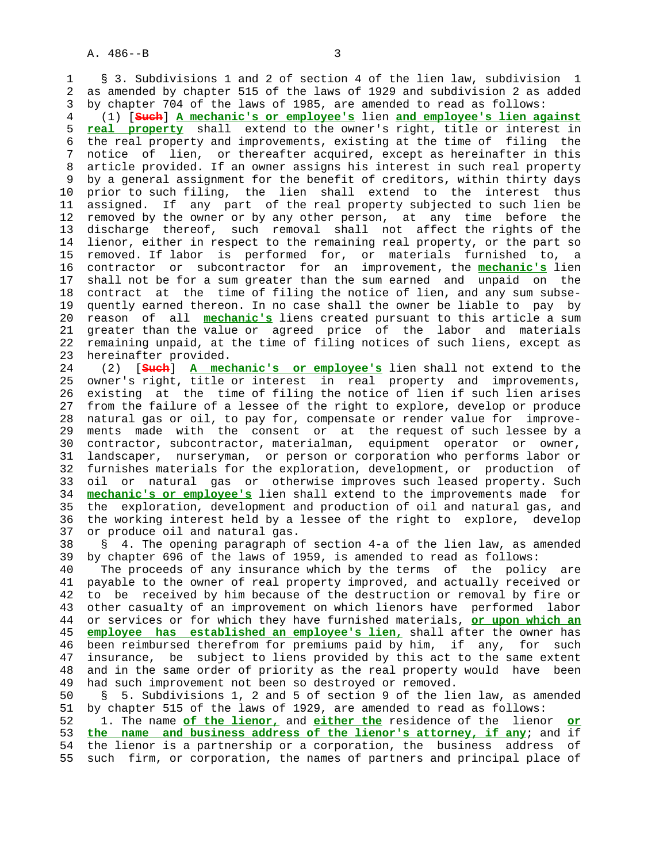1 § 3. Subdivisions 1 and 2 of section 4 of the lien law, subdivision 1 2 as amended by chapter 515 of the laws of 1929 and subdivision 2 as added 3 by chapter 704 of the laws of 1985, are amended to read as follows:

 4 (1) [**Such**] **A mechanic's or employee's** lien **and employee's lien against** 5 **real property** shall extend to the owner's right, title or interest in 6 the real property and improvements, existing at the time of filing the 7 notice of lien, or thereafter acquired, except as hereinafter in this 8 article provided. If an owner assigns his interest in such real property 9 by a general assignment for the benefit of creditors, within thirty days 10 prior to such filing, the lien shall extend to the interest thus 11 assigned. If any part of the real property subjected to such lien be 12 removed by the owner or by any other person, at any time before the 13 discharge thereof, such removal shall not affect the rights of the 14 lienor, either in respect to the remaining real property, or the part so 15 removed. If labor is performed for, or materials furnished to, a 16 contractor or subcontractor for an improvement, the **mechanic's** lien 17 shall not be for a sum greater than the sum earned and unpaid on the 18 contract at the time of filing the notice of lien, and any sum subse- 19 quently earned thereon. In no case shall the owner be liable to pay by 20 reason of all **mechanic's** liens created pursuant to this article a sum 21 greater than the value or agreed price of the labor and materials 22 remaining unpaid, at the time of filing notices of such liens, except as 23 hereinafter provided.

 24 (2) [**Such**] **A mechanic's or employee's** lien shall not extend to the 25 owner's right, title or interest in real property and improvements, 26 existing at the time of filing the notice of lien if such lien arises 27 from the failure of a lessee of the right to explore, develop or produce 28 natural gas or oil, to pay for, compensate or render value for improve- 29 ments made with the consent or at the request of such lessee by a 30 contractor, subcontractor, materialman, equipment operator or owner, 31 landscaper, nurseryman, or person or corporation who performs labor or 32 furnishes materials for the exploration, development, or production of 33 oil or natural gas or otherwise improves such leased property. Such 34 **mechanic's or employee's** lien shall extend to the improvements made for 35 the exploration, development and production of oil and natural gas, and 36 the working interest held by a lessee of the right to explore, develop 37 or produce oil and natural gas.

 38 § 4. The opening paragraph of section 4-a of the lien law, as amended 39 by chapter 696 of the laws of 1959, is amended to read as follows:

 40 The proceeds of any insurance which by the terms of the policy are 41 payable to the owner of real property improved, and actually received or 42 to be received by him because of the destruction or removal by fire or 43 other casualty of an improvement on which lienors have performed labor 44 or services or for which they have furnished materials, **or upon which an** 45 **employee has established an employee's lien,** shall after the owner has 46 been reimbursed therefrom for premiums paid by him, if any, for such 47 insurance, be subject to liens provided by this act to the same extent 48 and in the same order of priority as the real property would have been 49 had such improvement not been so destroyed or removed.

 50 § 5. Subdivisions 1, 2 and 5 of section 9 of the lien law, as amended 51 by chapter 515 of the laws of 1929, are amended to read as follows:

 52 1. The name **of the lienor,** and **either the** residence of the lienor **or** 53 **the name and business address of the lienor's attorney, if any**; and if 54 the lienor is a partnership or a corporation, the business address of 55 such firm, or corporation, the names of partners and principal place of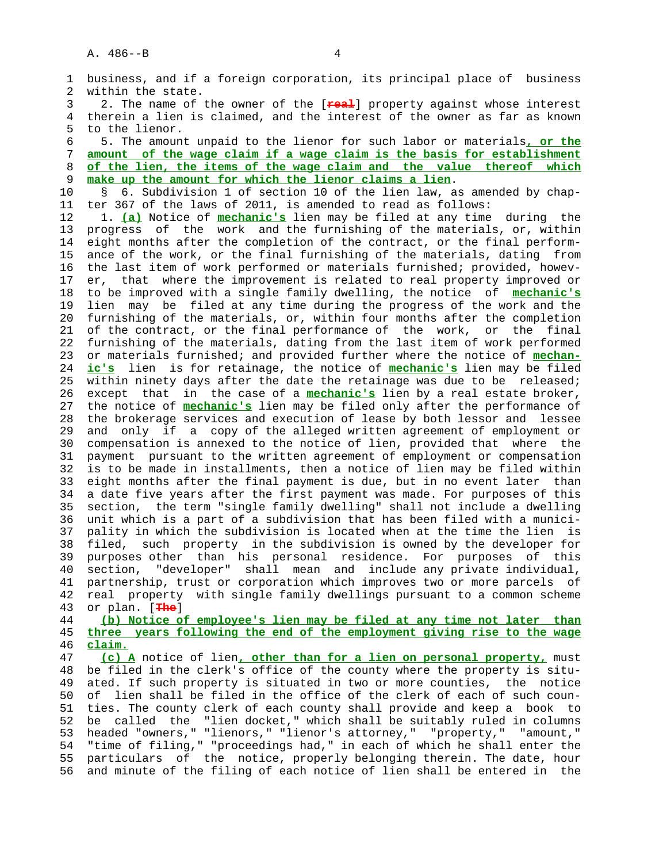1 business, and if a foreign corporation, its principal place of business 2 within the state. 3 2. The name of the owner of the [**real**] property against whose interest 4 therein a lien is claimed, and the interest of the owner as far as known 5 to the lienor. 6 5. The amount unpaid to the lienor for such labor or materials**, or the** 7 **amount of the wage claim if a wage claim is the basis for establishment** 8 **of the lien, the items of the wage claim and the value thereof which** make up the amount for which the lienor claims a lien. 10 § 6. Subdivision 1 of section 10 of the lien law, as amended by chap- 11 ter 367 of the laws of 2011, is amended to read as follows: 12 1. **(a)** Notice of **mechanic's** lien may be filed at any time during the 13 progress of the work and the furnishing of the materials, or, within 14 eight months after the completion of the contract, or the final perform- 15 ance of the work, or the final furnishing of the materials, dating from 16 the last item of work performed or materials furnished; provided, howev- 17 er, that where the improvement is related to real property improved or 18 to be improved with a single family dwelling, the notice of **mechanic's** 19 lien may be filed at any time during the progress of the work and the 20 furnishing of the materials, or, within four months after the completion 21 of the contract, or the final performance of the work, or the final 22 furnishing of the materials, dating from the last item of work performed 23 or materials furnished; and provided further where the notice of **mechan-** 24 **ic's** lien is for retainage, the notice of **mechanic's** lien may be filed 25 within ninety days after the date the retainage was due to be released; 26 except that in the case of a **mechanic's** lien by a real estate broker, 27 the notice of **mechanic's** lien may be filed only after the performance of 28 the brokerage services and execution of lease by both lessor and lessee 29 and only if a copy of the alleged written agreement of employment or 30 compensation is annexed to the notice of lien, provided that where the 31 payment pursuant to the written agreement of employment or compensation 32 is to be made in installments, then a notice of lien may be filed within 33 eight months after the final payment is due, but in no event later than 34 a date five years after the first payment was made. For purposes of this 35 section, the term "single family dwelling" shall not include a dwelling 36 unit which is a part of a subdivision that has been filed with a munici- 37 pality in which the subdivision is located when at the time the lien is 38 filed, such property in the subdivision is owned by the developer for 39 purposes other than his personal residence. For purposes of this 40 section, "developer" shall mean and include any private individual, 41 partnership, trust or corporation which improves two or more parcels of 42 real property with single family dwellings pursuant to a common scheme 43 or plan. [**The**] 44 **(b) Notice of employee's lien may be filed at any time not later than** 45 **three years following the end of the employment giving rise to the wage** 46 **claim.** 47 **(c) A** notice of lien**, other than for a lien on personal property,** must 48 be filed in the clerk's office of the county where the property is situ- 49 ated. If such property is situated in two or more counties, the notice 50 of lien shall be filed in the office of the clerk of each of such coun- 51 ties. The county clerk of each county shall provide and keep a book to 52 be called the "lien docket," which shall be suitably ruled in columns 53 headed "owners," "lienors," "lienor's attorney," "property," "amount," 54 "time of filing," "proceedings had," in each of which he shall enter the 55 particulars of the notice, properly belonging therein. The date, hour 56 and minute of the filing of each notice of lien shall be entered in the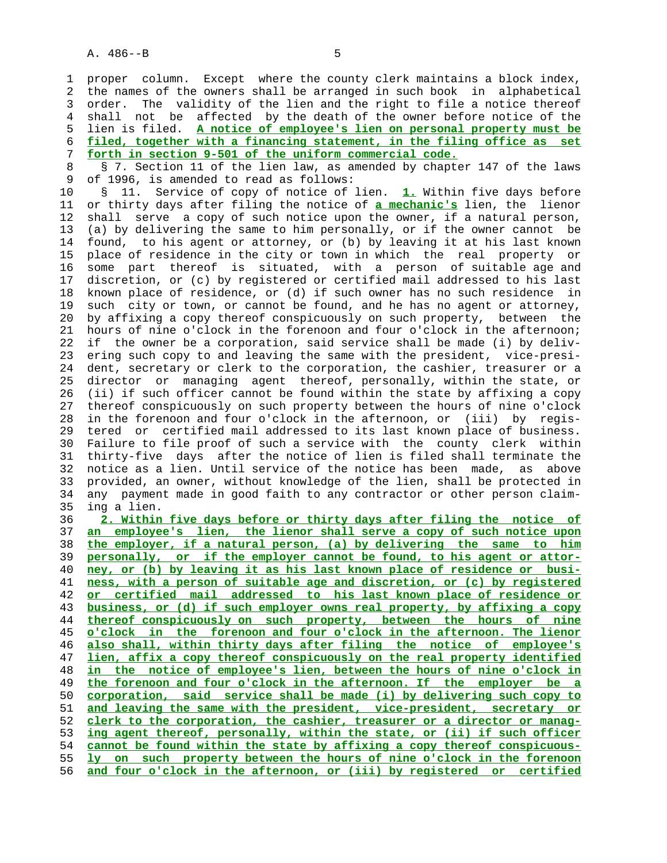1 proper column. Except where the county clerk maintains a block index, 2 the names of the owners shall be arranged in such book in alphabetical 3 order. The validity of the lien and the right to file a notice thereof 4 shall not be affected by the death of the owner before notice of the 5 lien is filed. **A notice of employee's lien on personal property must be** 6 **filed, together with a financing statement, in the filing office as set** 7 **forth in section 9-501 of the uniform commercial code.**

8 § 7. Section 11 of the lien law, as amended by chapter 147 of the laws<br>9 of 1996, is amended to read as follows: of 1996, is amended to read as follows:

 10 § 11. Service of copy of notice of lien. **1.** Within five days before 11 or thirty days after filing the notice of **a mechanic's** lien, the lienor 12 shall serve a copy of such notice upon the owner, if a natural person, 13 (a) by delivering the same to him personally, or if the owner cannot be 14 found, to his agent or attorney, or (b) by leaving it at his last known 15 place of residence in the city or town in which the real property or 16 some part thereof is situated, with a person of suitable age and 17 discretion, or (c) by registered or certified mail addressed to his last 18 known place of residence, or (d) if such owner has no such residence in 19 such city or town, or cannot be found, and he has no agent or attorney, 20 by affixing a copy thereof conspicuously on such property, between the 21 hours of nine o'clock in the forenoon and four o'clock in the afternoon; 22 if the owner be a corporation, said service shall be made (i) by deliv- 23 ering such copy to and leaving the same with the president, vice-presi- 24 dent, secretary or clerk to the corporation, the cashier, treasurer or a 25 director or managing agent thereof, personally, within the state, or 26 (ii) if such officer cannot be found within the state by affixing a copy 27 thereof conspicuously on such property between the hours of nine o'clock 28 in the forenoon and four o'clock in the afternoon, or (iii) by regis- 29 tered or certified mail addressed to its last known place of business. 30 Failure to file proof of such a service with the county clerk within 31 thirty-five days after the notice of lien is filed shall terminate the 32 notice as a lien. Until service of the notice has been made, as above 33 provided, an owner, without knowledge of the lien, shall be protected in 34 any payment made in good faith to any contractor or other person claim- 35 ing a lien.

**2. Within five days before or thirty days after filing the notice of an employee's lien, the lienor shall serve a copy of such notice upon the employer, if a natural person, (a) by delivering the same to him personally, or if the employer cannot be found, to his agent or attor- ney, or (b) by leaving it as his last known place of residence or busi- ness, with a person of suitable age and discretion, or (c) by registered or certified mail addressed to his last known place of residence or business, or (d) if such employer owns real property, by affixing a copy thereof conspicuously on such property, between the hours of nine o'clock in the forenoon and four o'clock in the afternoon. The lienor also shall, within thirty days after filing the notice of employee's lien, affix a copy thereof conspicuously on the real property identified in the notice of employee's lien, between the hours of nine o'clock in the forenoon and four o'clock in the afternoon. If the employer be a corporation, said service shall be made (i) by delivering such copy to and leaving the same with the president, vice-president, secretary or clerk to the corporation, the cashier, treasurer or a director or manag- ing agent thereof, personally, within the state, or (ii) if such officer cannot be found within the state by affixing a copy thereof conspicuous- ly on such property between the hours of nine o'clock in the forenoon and four o'clock in the afternoon, or (iii) by registered or certified**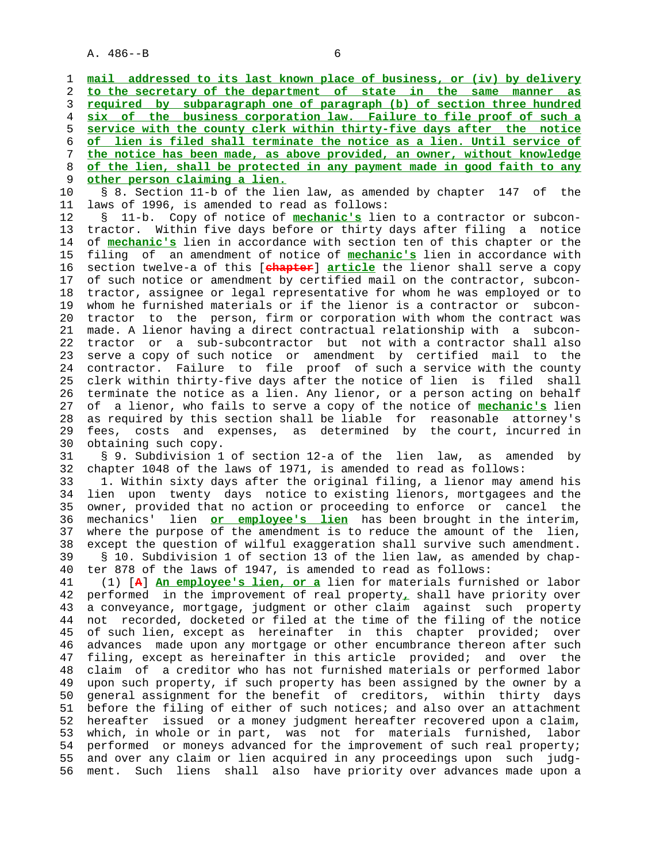A. 486--B 6

 1 **mail addressed to its last known place of business, or (iv) by delivery** 2 **to the secretary of the department of state in the same manner as** 3 **required by subparagraph one of paragraph (b) of section three hundred** 4 **six of the business corporation law. Failure to file proof of such a** 5 **service with the county clerk within thirty-five days after the notice** 6 **of lien is filed shall terminate the notice as a lien. Until service of** 7 **the notice has been made, as above provided, an owner, without knowledge** 8 **of the lien, shall be protected in any payment made in good faith to any** 9 **other person claiming a lien.** 10 § 8. Section 11-b of the lien law, as amended by chapter 147 of the 11 laws of 1996, is amended to read as follows: 12 § 11-b. Copy of notice of **mechanic's** lien to a contractor or subcon- 13 tractor. Within five days before or thirty days after filing a notice 14 of **mechanic's** lien in accordance with section ten of this chapter or the 15 filing of an amendment of notice of **mechanic's** lien in accordance with 16 section twelve-a of this [**chapter**] **article** the lienor shall serve a copy 17 of such notice or amendment by certified mail on the contractor, subcon- 18 tractor, assignee or legal representative for whom he was employed or to 19 whom he furnished materials or if the lienor is a contractor or subcon- 20 tractor to the person, firm or corporation with whom the contract was 21 made. A lienor having a direct contractual relationship with a subcon- 22 tractor or a sub-subcontractor but not with a contractor shall also 23 serve a copy of such notice or amendment by certified mail to the 24 contractor. Failure to file proof of such a service with the county 25 clerk within thirty-five days after the notice of lien is filed shall 26 terminate the notice as a lien. Any lienor, or a person acting on behalf 27 of a lienor, who fails to serve a copy of the notice of **mechanic's** lien 28 as required by this section shall be liable for reasonable attorney's 29 fees, costs and expenses, as determined by the court, incurred in 30 obtaining such copy. 31 § 9. Subdivision 1 of section 12-a of the lien law, as amended by 32 chapter 1048 of the laws of 1971, is amended to read as follows: 33 1. Within sixty days after the original filing, a lienor may amend his 34 lien upon twenty days notice to existing lienors, mortgagees and the 35 owner, provided that no action or proceeding to enforce or cancel the 36 mechanics' lien **or employee's lien** has been brought in the interim, 37 where the purpose of the amendment is to reduce the amount of the lien, 38 except the question of wilful exaggeration shall survive such amendment. 39 § 10. Subdivision 1 of section 13 of the lien law, as amended by chap- 40 ter 878 of the laws of 1947, is amended to read as follows: 41 (1) [**A**] **An employee's lien, or a** lien for materials furnished or labor 42 performed in the improvement of real property**,** shall have priority over 43 a conveyance, mortgage, judgment or other claim against such property 44 not recorded, docketed or filed at the time of the filing of the notice 45 of such lien, except as hereinafter in this chapter provided; over 46 advances made upon any mortgage or other encumbrance thereon after such 47 filing, except as hereinafter in this article provided; and over the 48 claim of a creditor who has not furnished materials or performed labor 49 upon such property, if such property has been assigned by the owner by a 50 general assignment for the benefit of creditors, within thirty days 51 before the filing of either of such notices; and also over an attachment 52 hereafter issued or a money judgment hereafter recovered upon a claim, 53 which, in whole or in part, was not for materials furnished, labor 54 performed or moneys advanced for the improvement of such real property; 55 and over any claim or lien acquired in any proceedings upon such judg- 56 ment. Such liens shall also have priority over advances made upon a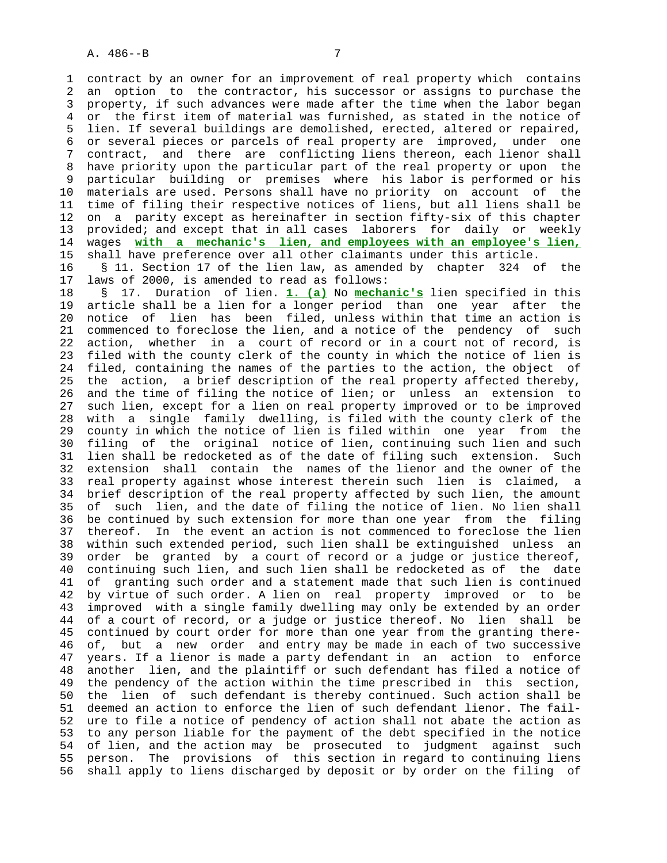1 contract by an owner for an improvement of real property which contains 2 an option to the contractor, his successor or assigns to purchase the 3 property, if such advances were made after the time when the labor began 4 or the first item of material was furnished, as stated in the notice of 5 lien. If several buildings are demolished, erected, altered or repaired, 6 or several pieces or parcels of real property are improved, under one 7 contract, and there are conflicting liens thereon, each lienor shall 8 have priority upon the particular part of the real property or upon the<br>9 particular building or premises where his labor is performed or his 9 particular building or premises where his labor is performed or his 10 materials are used. Persons shall have no priority on account of the 11 time of filing their respective notices of liens, but all liens shall be 12 on a parity except as hereinafter in section fifty-six of this chapter 13 provided; and except that in all cases laborers for daily or weekly<br>14 waqes with a mechanic's lien, and employees with an employee's lien. 14 wages **with a mechanic's lien, and employees with an employee's lien,** 15 shall have preference over all other claimants under this article.

 16 § 11. Section 17 of the lien law, as amended by chapter 324 of the 17 laws of 2000, is amended to read as follows:

 18 § 17. Duration of lien. **1. (a)** No **mechanic's** lien specified in this 19 article shall be a lien for a longer period than one year after the 20 notice of lien has been filed, unless within that time an action is 21 commenced to foreclose the lien, and a notice of the pendency of such 22 action, whether in a court of record or in a court not of record, is 23 filed with the county clerk of the county in which the notice of lien is 24 filed, containing the names of the parties to the action, the object of 25 the action, a brief description of the real property affected thereby, 26 and the time of filing the notice of lien; or unless an extension to 27 such lien, except for a lien on real property improved or to be improved 28 with a single family dwelling, is filed with the county clerk of the 29 county in which the notice of lien is filed within one year from the 30 filing of the original notice of lien, continuing such lien and such 31 lien shall be redocketed as of the date of filing such extension. Such 32 extension shall contain the names of the lienor and the owner of the 33 real property against whose interest therein such lien is claimed, a 34 brief description of the real property affected by such lien, the amount 35 of such lien, and the date of filing the notice of lien. No lien shall 36 be continued by such extension for more than one year from the filing 37 thereof. In the event an action is not commenced to foreclose the lien 38 within such extended period, such lien shall be extinguished unless an 39 order be granted by a court of record or a judge or justice thereof, 40 continuing such lien, and such lien shall be redocketed as of the date 41 of granting such order and a statement made that such lien is continued 42 by virtue of such order. A lien on real property improved or to be 43 improved with a single family dwelling may only be extended by an order 44 of a court of record, or a judge or justice thereof. No lien shall be 45 continued by court order for more than one year from the granting there- 46 of, but a new order and entry may be made in each of two successive 47 years. If a lienor is made a party defendant in an action to enforce 48 another lien, and the plaintiff or such defendant has filed a notice of 49 the pendency of the action within the time prescribed in this section, 50 the lien of such defendant is thereby continued. Such action shall be 51 deemed an action to enforce the lien of such defendant lienor. The fail- 52 ure to file a notice of pendency of action shall not abate the action as 53 to any person liable for the payment of the debt specified in the notice 54 of lien, and the action may be prosecuted to judgment against such 55 person. The provisions of this section in regard to continuing liens 56 shall apply to liens discharged by deposit or by order on the filing of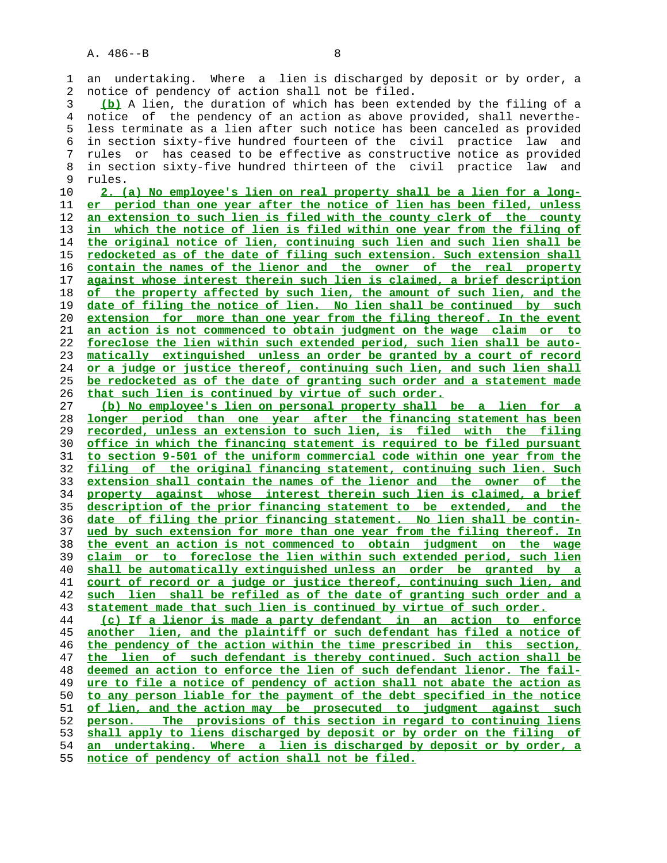1 an undertaking. Where a lien is discharged by deposit or by order, a 2 notice of pendency of action shall not be filed.

**(b)** A lien, the duration of which has been extended by the filing of a 4 notice of the pendency of an action as above provided, shall neverthe- 5 less terminate as a lien after such notice has been canceled as provided 6 in section sixty-five hundred fourteen of the civil practice law and 7 rules or has ceased to be effective as constructive notice as provided 8 in section sixty-five hundred thirteen of the civil practice law and<br>9 rules. rules.

**2. (a) No employee's lien on real property shall be a lien for a long- er period than one year after the notice of lien has been filed, unless an extension to such lien is filed with the county clerk of the county in which the notice of lien is filed within one year from the filing of the original notice of lien, continuing such lien and such lien shall be redocketed as of the date of filing such extension. Such extension shall contain the names of the lienor and the owner of the real property against whose interest therein such lien is claimed, a brief description of the property affected by such lien, the amount of such lien, and the date of filing the notice of lien. No lien shall be continued by such extension for more than one year from the filing thereof. In the event an action is not commenced to obtain judgment on the wage claim or to foreclose the lien within such extended period, such lien shall be auto- matically extinguished unless an order be granted by a court of record or a judge or justice thereof, continuing such lien, and such lien shall be redocketed as of the date of granting such order and a statement made that such lien is continued by virtue of such order.**

**(b) No employee's lien on personal property shall be a lien for a longer period than one year after the financing statement has been recorded, unless an extension to such lien, is filed with the filing office in which the financing statement is required to be filed pursuant to section 9-501 of the uniform commercial code within one year from the filing of the original financing statement, continuing such lien. Such extension shall contain the names of the lienor and the owner of the property against whose interest therein such lien is claimed, a brief description of the prior financing statement to be extended, and the date of filing the prior financing statement. No lien shall be contin- ued by such extension for more than one year from the filing thereof. In the event an action is not commenced to obtain judgment on the wage claim or to foreclose the lien within such extended period, such lien shall be automatically extinguished unless an order be granted by a court of record or a judge or justice thereof, continuing such lien, and such lien shall be refiled as of the date of granting such order and a statement made that such lien is continued by virtue of such order.**

**(c) If a lienor is made a party defendant in an action to enforce another lien, and the plaintiff or such defendant has filed a notice of the pendency of the action within the time prescribed in this section, the lien of such defendant is thereby continued. Such action shall be deemed an action to enforce the lien of such defendant lienor. The fail- ure to file a notice of pendency of action shall not abate the action as to any person liable for the payment of the debt specified in the notice of lien, and the action may be prosecuted to judgment against such person. The provisions of this section in regard to continuing liens shall apply to liens discharged by deposit or by order on the filing of an undertaking. Where a lien is discharged by deposit or by order, a notice of pendency of action shall not be filed.**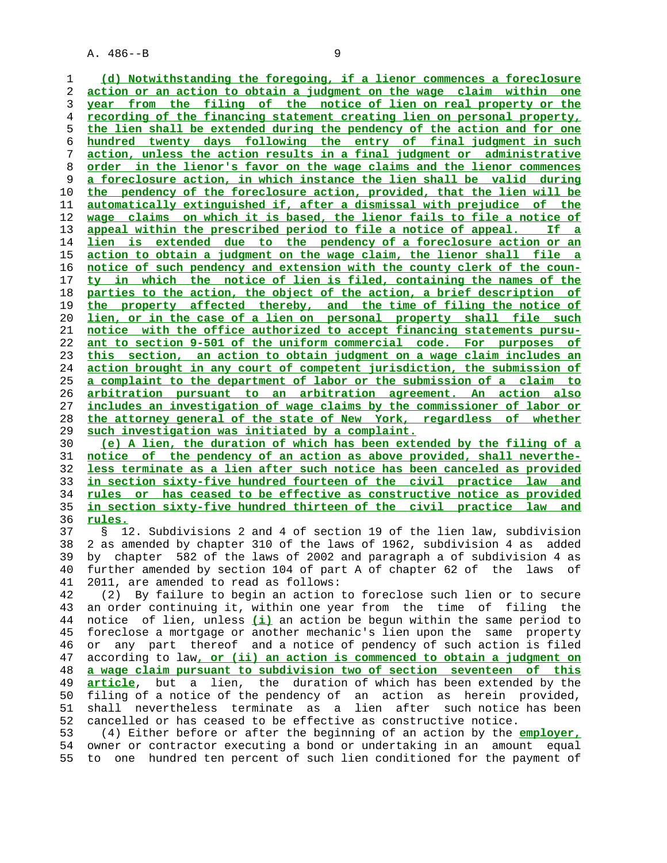**(d) Notwithstanding the foregoing, if a lienor commences a foreclosure action or an action to obtain a judgment on the wage claim within one year from the filing of the notice of lien on real property or the recording of the financing statement creating lien on personal property, the lien shall be extended during the pendency of the action and for one hundred twenty days following the entry of final judgment in such action, unless the action results in a final judgment or administrative order in the lienor's favor on the wage claims and the lienor commences a foreclosure action, in which instance the lien shall be valid during the pendency of the foreclosure action, provided, that the lien will be automatically extinguished if, after a dismissal with prejudice of the wage claims on which it is based, the lienor fails to file a notice of appeal within the prescribed period to file a notice of appeal. If a lien is extended due to the pendency of a foreclosure action or an action to obtain a judgment on the wage claim, the lienor shall file a notice of such pendency and extension with the county clerk of the coun- ty in which the notice of lien is filed, containing the names of the parties to the action, the object of the action, a brief description of the property affected thereby, and the time of filing the notice of lien, or in the case of a lien on personal property shall file such notice with the office authorized to accept financing statements pursu- ant to section 9-501 of the uniform commercial code. For purposes of this section, an action to obtain judgment on a wage claim includes an action brought in any court of competent jurisdiction, the submission of a complaint to the department of labor or the submission of a claim to arbitration pursuant to an arbitration agreement. An action also includes an investigation of wage claims by the commissioner of labor or the attorney general of the state of New York, regardless of whether such investigation was initiated by a complaint. (e) A lien, the duration of which has been extended by the filing of a**

**notice of the pendency of an action as above provided, shall neverthe- less terminate as a lien after such notice has been canceled as provided in section sixty-five hundred fourteen of the civil practice law and rules or has ceased to be effective as constructive notice as provided in section sixty-five hundred thirteen of the civil practice law and rules.**

 37 § 12. Subdivisions 2 and 4 of section 19 of the lien law, subdivision 38 2 as amended by chapter 310 of the laws of 1962, subdivision 4 as added 39 by chapter 582 of the laws of 2002 and paragraph a of subdivision 4 as 40 further amended by section 104 of part A of chapter 62 of the laws of 41 2011, are amended to read as follows:

 42 (2) By failure to begin an action to foreclose such lien or to secure 43 an order continuing it, within one year from the time of filing the 44 notice of lien, unless **(i)** an action be begun within the same period to 45 foreclose a mortgage or another mechanic's lien upon the same property 46 or any part thereof and a notice of pendency of such action is filed 47 according to law**, or (ii) an action is commenced to obtain a judgment on a wage claim pursuant to subdivision two of section seventeen of this article**, but a lien, the duration of which has been extended by the 50 filing of a notice of the pendency of an action as herein provided, 51 shall nevertheless terminate as a lien after such notice has been 52 cancelled or has ceased to be effective as constructive notice. 53 (4) Either before or after the beginning of an action by the **employer,** 54 owner or contractor executing a bond or undertaking in an amount equal

55 to one hundred ten percent of such lien conditioned for the payment of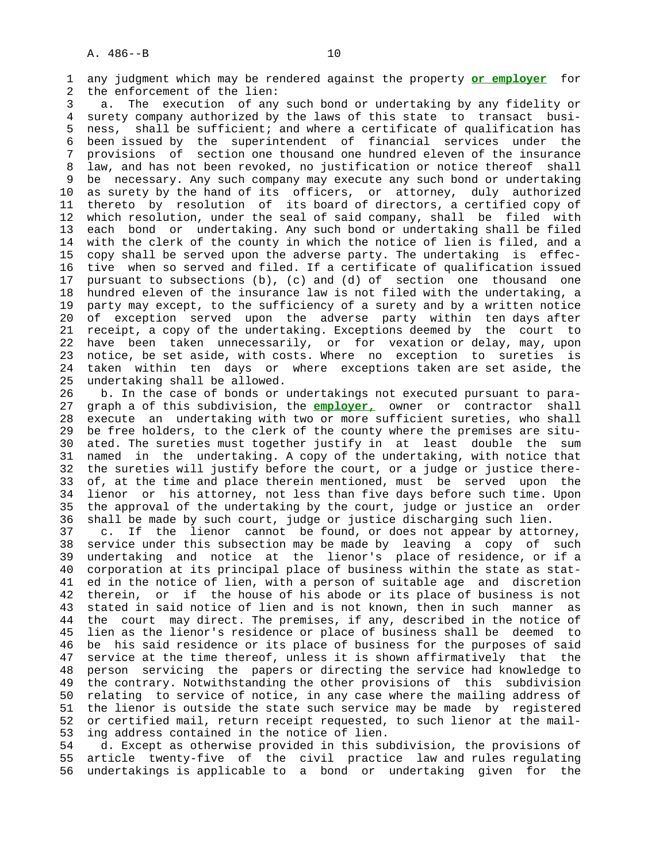1 any judgment which may be rendered against the property **or employer** for 2 the enforcement of the lien:

 3 a. The execution of any such bond or undertaking by any fidelity or 4 surety company authorized by the laws of this state to transact busi- 5 ness, shall be sufficient; and where a certificate of qualification has 6 been issued by the superintendent of financial services under the 7 provisions of section one thousand one hundred eleven of the insurance 8 law, and has not been revoked, no justification or notice thereof shall 9 be necessary. Any such company may execute any such bond or undertaking 10 as surety by the hand of its officers, or attorney, duly authorized 11 thereto by resolution of its board of directors, a certified copy of 12 which resolution, under the seal of said company, shall be filed with 13 each bond or undertaking. Any such bond or undertaking shall be filed 14 with the clerk of the county in which the notice of lien is filed, and a 15 copy shall be served upon the adverse party. The undertaking is effec- 16 tive when so served and filed. If a certificate of qualification issued 17 pursuant to subsections (b), (c) and (d) of section one thousand one 18 hundred eleven of the insurance law is not filed with the undertaking, a 19 party may except, to the sufficiency of a surety and by a written notice 20 of exception served upon the adverse party within ten days after 21 receipt, a copy of the undertaking. Exceptions deemed by the court to 22 have been taken unnecessarily, or for vexation or delay, may, upon 23 notice, be set aside, with costs. Where no exception to sureties is 24 taken within ten days or where exceptions taken are set aside, the 25 undertaking shall be allowed.

 26 b. In the case of bonds or undertakings not executed pursuant to para- 27 graph a of this subdivision, the **employer,** owner or contractor shall 28 execute an undertaking with two or more sufficient sureties, who shall 29 be free holders, to the clerk of the county where the premises are situ- 30 ated. The sureties must together justify in at least double the sum 31 named in the undertaking. A copy of the undertaking, with notice that 32 the sureties will justify before the court, or a judge or justice there- 33 of, at the time and place therein mentioned, must be served upon the 34 lienor or his attorney, not less than five days before such time. Upon 35 the approval of the undertaking by the court, judge or justice an order 36 shall be made by such court, judge or justice discharging such lien.

 37 c. If the lienor cannot be found, or does not appear by attorney, 38 service under this subsection may be made by leaving a copy of such 39 undertaking and notice at the lienor's place of residence, or if a 40 corporation at its principal place of business within the state as stat- 41 ed in the notice of lien, with a person of suitable age and discretion 42 therein, or if the house of his abode or its place of business is not 43 stated in said notice of lien and is not known, then in such manner as 44 the court may direct. The premises, if any, described in the notice of 45 lien as the lienor's residence or place of business shall be deemed to 46 be his said residence or its place of business for the purposes of said 47 service at the time thereof, unless it is shown affirmatively that the 48 person servicing the papers or directing the service had knowledge to 49 the contrary. Notwithstanding the other provisions of this subdivision 50 relating to service of notice, in any case where the mailing address of 51 the lienor is outside the state such service may be made by registered 52 or certified mail, return receipt requested, to such lienor at the mail- 53 ing address contained in the notice of lien.

 54 d. Except as otherwise provided in this subdivision, the provisions of 55 article twenty-five of the civil practice law and rules regulating 56 undertakings is applicable to a bond or undertaking given for the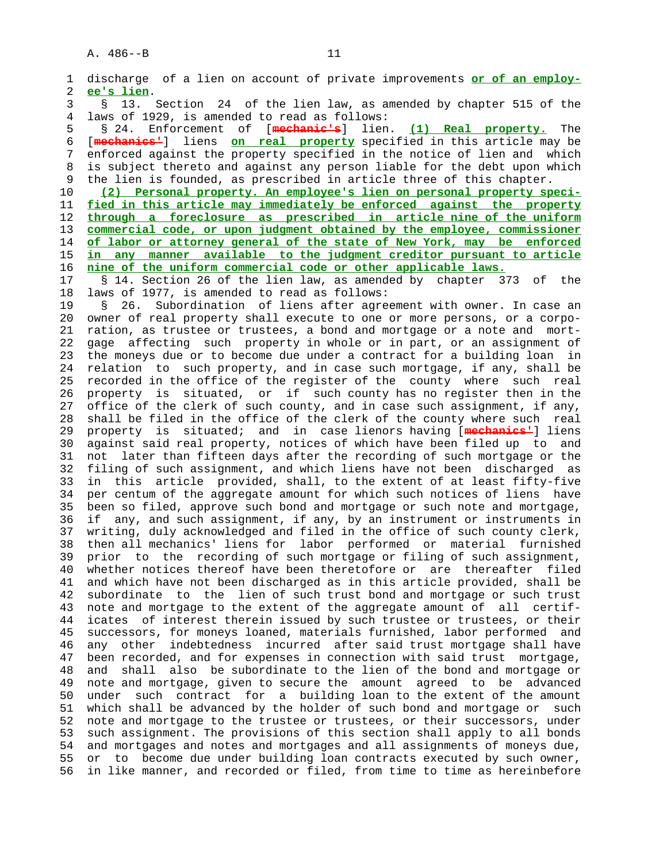1 discharge of a lien on account of private improvements **or of an employ-** 2 **ee's lien**. 3 § 13. Section 24 of the lien law, as amended by chapter 515 of the 4 laws of 1929, is amended to read as follows: 5 § 24. Enforcement of [**mechanic's**] lien. **(1) Real property.** The 6 [**mechanics'**] liens **on real property** specified in this article may be 7 enforced against the property specified in the notice of lien and which 8 is subject thereto and against any person liable for the debt upon which<br>9 the lien is founded, as prescribed in article three of this chapter. the lien is founded, as prescribed in article three of this chapter. 10 **(2) Personal property. An employee's lien on personal property speci-** 11 **fied in this article may immediately be enforced against the property** 12 **through a foreclosure as prescribed in article nine of the uniform** 13 **commercial code, or upon judgment obtained by the employee, commissioner** 14 **of labor or attorney general of the state of New York, may be enforced** 15 **in any manner available to the judgment creditor pursuant to article** 16 **nine of the uniform commercial code or other applicable laws.** 17 § 14. Section 26 of the lien law, as amended by chapter 373 of the 18 laws of 1977, is amended to read as follows: 19 § 26. Subordination of liens after agreement with owner. In case an 20 owner of real property shall execute to one or more persons, or a corpo- 21 ration, as trustee or trustees, a bond and mortgage or a note and mort- 22 gage affecting such property in whole or in part, or an assignment of 23 the moneys due or to become due under a contract for a building loan in 24 relation to such property, and in case such mortgage, if any, shall be 25 recorded in the office of the register of the county where such real 26 property is situated, or if such county has no register then in the 27 office of the clerk of such county, and in case such assignment, if any, 28 shall be filed in the office of the clerk of the county where such real 29 property is situated; and in case lienors having [**mechanics'**] liens 30 against said real property, notices of which have been filed up to and 31 not later than fifteen days after the recording of such mortgage or the 32 filing of such assignment, and which liens have not been discharged as 33 in this article provided, shall, to the extent of at least fifty-five 34 per centum of the aggregate amount for which such notices of liens have 35 been so filed, approve such bond and mortgage or such note and mortgage, 36 if any, and such assignment, if any, by an instrument or instruments in 37 writing, duly acknowledged and filed in the office of such county clerk, 38 then all mechanics' liens for labor performed or material furnished 39 prior to the recording of such mortgage or filing of such assignment, 40 whether notices thereof have been theretofore or are thereafter filed 41 and which have not been discharged as in this article provided, shall be 42 subordinate to the lien of such trust bond and mortgage or such trust 43 note and mortgage to the extent of the aggregate amount of all certif- 44 icates of interest therein issued by such trustee or trustees, or their 45 successors, for moneys loaned, materials furnished, labor performed and 46 any other indebtedness incurred after said trust mortgage shall have 47 been recorded, and for expenses in connection with said trust mortgage, 48 and shall also be subordinate to the lien of the bond and mortgage or 49 note and mortgage, given to secure the amount agreed to be advanced 50 under such contract for a building loan to the extent of the amount 51 which shall be advanced by the holder of such bond and mortgage or such 52 note and mortgage to the trustee or trustees, or their successors, under 53 such assignment. The provisions of this section shall apply to all bonds 54 and mortgages and notes and mortgages and all assignments of moneys due, 55 or to become due under building loan contracts executed by such owner, 56 in like manner, and recorded or filed, from time to time as hereinbefore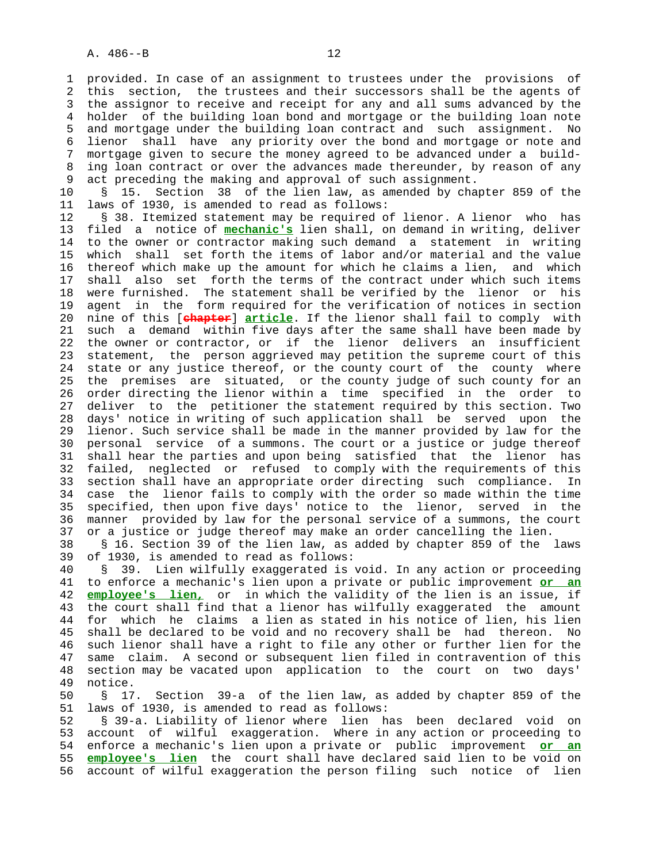1 provided. In case of an assignment to trustees under the provisions of 2 this section, the trustees and their successors shall be the agents of 3 the assignor to receive and receipt for any and all sums advanced by the 4 holder of the building loan bond and mortgage or the building loan note 5 and mortgage under the building loan contract and such assignment. No 6 lienor shall have any priority over the bond and mortgage or note and 7 mortgage given to secure the money agreed to be advanced under a build- 8 ing loan contract or over the advances made thereunder, by reason of any<br>9 act preceding the making and approval of such assignment. act preceding the making and approval of such assignment.

 10 § 15. Section 38 of the lien law, as amended by chapter 859 of the 11 laws of 1930, is amended to read as follows:

 12 § 38. Itemized statement may be required of lienor. A lienor who has 13 filed a notice of **mechanic's** lien shall, on demand in writing, deliver 14 to the owner or contractor making such demand a statement in writing 15 which shall set forth the items of labor and/or material and the value 16 thereof which make up the amount for which he claims a lien, and which 17 shall also set forth the terms of the contract under which such items 18 were furnished. The statement shall be verified by the lienor or his 19 agent in the form required for the verification of notices in section 20 nine of this [**chapter**] **article**. If the lienor shall fail to comply with 21 such a demand within five days after the same shall have been made by 22 the owner or contractor, or if the lienor delivers an insufficient 23 statement, the person aggrieved may petition the supreme court of this 24 state or any justice thereof, or the county court of the county where 25 the premises are situated, or the county judge of such county for an 26 order directing the lienor within a time specified in the order to 27 deliver to the petitioner the statement required by this section. Two 28 days' notice in writing of such application shall be served upon the 29 lienor. Such service shall be made in the manner provided by law for the 30 personal service of a summons. The court or a justice or judge thereof 31 shall hear the parties and upon being satisfied that the lienor has 32 failed, neglected or refused to comply with the requirements of this 33 section shall have an appropriate order directing such compliance. In 34 case the lienor fails to comply with the order so made within the time 35 specified, then upon five days' notice to the lienor, served in the 36 manner provided by law for the personal service of a summons, the court 37 or a justice or judge thereof may make an order cancelling the lien.

 38 § 16. Section 39 of the lien law, as added by chapter 859 of the laws 39 of 1930, is amended to read as follows:

 40 § 39. Lien wilfully exaggerated is void. In any action or proceeding 41 to enforce a mechanic's lien upon a private or public improvement **or an** 42 **employee's lien,** or in which the validity of the lien is an issue, if 43 the court shall find that a lienor has wilfully exaggerated the amount 44 for which he claims a lien as stated in his notice of lien, his lien 45 shall be declared to be void and no recovery shall be had thereon. No 46 such lienor shall have a right to file any other or further lien for the 47 same claim. A second or subsequent lien filed in contravention of this 48 section may be vacated upon application to the court on two days' 49 notice.

 50 § 17. Section 39-a of the lien law, as added by chapter 859 of the 51 laws of 1930, is amended to read as follows:

 52 § 39-a. Liability of lienor where lien has been declared void on 53 account of wilful exaggeration. Where in any action or proceeding to 54 enforce a mechanic's lien upon a private or public improvement **or an** 55 **employee's lien** the court shall have declared said lien to be void on 56 account of wilful exaggeration the person filing such notice of lien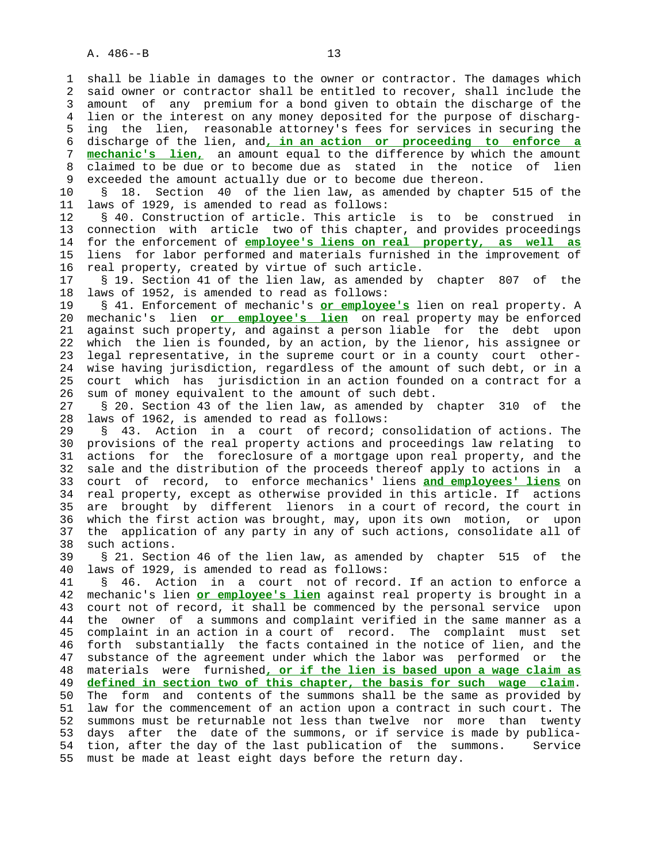1 shall be liable in damages to the owner or contractor. The damages which 2 said owner or contractor shall be entitled to recover, shall include the 3 amount of any premium for a bond given to obtain the discharge of the 4 lien or the interest on any money deposited for the purpose of discharg- 5 ing the lien, reasonable attorney's fees for services in securing the 6 discharge of the lien, and**, in an action or proceeding to enforce a** 7 **mechanic's lien,** an amount equal to the difference by which the amount 8 claimed to be due or to become due as stated in the notice of lien 9 exceeded the amount actually due or to become due thereon.

 10 § 18. Section 40 of the lien law, as amended by chapter 515 of the 11 laws of 1929, is amended to read as follows:

 12 § 40. Construction of article. This article is to be construed in 13 connection with article two of this chapter, and provides proceedings 14 for the enforcement of **employee's liens on real property, as well as** 15 liens for labor performed and materials furnished in the improvement of 16 real property, created by virtue of such article.

 17 § 19. Section 41 of the lien law, as amended by chapter 807 of the 18 laws of 1952, is amended to read as follows:

 19 § 41. Enforcement of mechanic's **or employee's** lien on real property. A 20 mechanic's lien **or employee's lien** on real property may be enforced 21 against such property, and against a person liable for the debt upon 22 which the lien is founded, by an action, by the lienor, his assignee or 23 legal representative, in the supreme court or in a county court other- 24 wise having jurisdiction, regardless of the amount of such debt, or in a 25 court which has jurisdiction in an action founded on a contract for a 26 sum of money equivalent to the amount of such debt.

 27 § 20. Section 43 of the lien law, as amended by chapter 310 of the 28 laws of 1962, is amended to read as follows:

 29 § 43. Action in a court of record; consolidation of actions. The 30 provisions of the real property actions and proceedings law relating to 31 actions for the foreclosure of a mortgage upon real property, and the 32 sale and the distribution of the proceeds thereof apply to actions in a 33 court of record, to enforce mechanics' liens **and employees' liens** on 34 real property, except as otherwise provided in this article. If actions 35 are brought by different lienors in a court of record, the court in 36 which the first action was brought, may, upon its own motion, or upon 37 the application of any party in any of such actions, consolidate all of 38 such actions.

 39 § 21. Section 46 of the lien law, as amended by chapter 515 of the 40 laws of 1929, is amended to read as follows:

 41 § 46. Action in a court not of record. If an action to enforce a 42 mechanic's lien **or employee's lien** against real property is brought in a 43 court not of record, it shall be commenced by the personal service upon 44 the owner of a summons and complaint verified in the same manner as a 45 complaint in an action in a court of record. The complaint must set 46 forth substantially the facts contained in the notice of lien, and the 47 substance of the agreement under which the labor was performed or the 48 materials were furnished**, or if the lien is based upon a wage claim as** 49 **defined in section two of this chapter, the basis for such wage claim**. 50 The form and contents of the summons shall be the same as provided by 51 law for the commencement of an action upon a contract in such court. The

 52 summons must be returnable not less than twelve nor more than twenty 53 days after the date of the summons, or if service is made by publica- 54 tion, after the day of the last publication of the summons. Service 55 must be made at least eight days before the return day.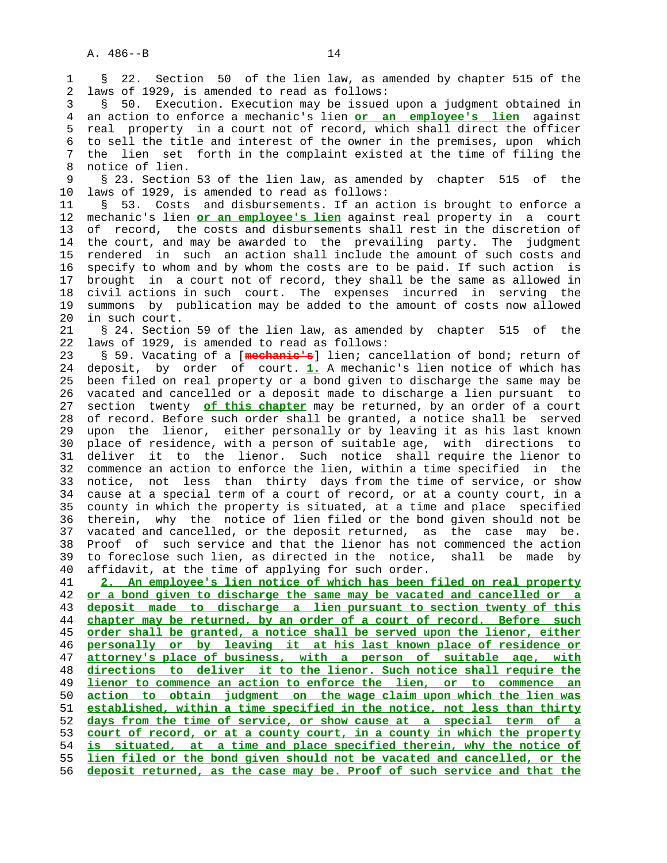1 § 22. Section 50 of the lien law, as amended by chapter 515 of the 2 laws of 1929, is amended to read as follows: 3 § 50. Execution. Execution may be issued upon a judgment obtained in 4 an action to enforce a mechanic's lien **or an employee's lien** against 5 real property in a court not of record, which shall direct the officer 6 to sell the title and interest of the owner in the premises, upon which 7 the lien set forth in the complaint existed at the time of filing the 8 notice of lien.<br>9 \$ 23. Section § 23. Section 53 of the lien law, as amended by chapter 515 of the 10 laws of 1929, is amended to read as follows: 11 § 53. Costs and disbursements. If an action is brought to enforce a 12 mechanic's lien **or an employee's lien** against real property in a court 13 of record, the costs and disbursements shall rest in the discretion of 14 the court, and may be awarded to the prevailing party. The judgment 15 rendered in such an action shall include the amount of such costs and 16 specify to whom and by whom the costs are to be paid. If such action is 17 brought in a court not of record, they shall be the same as allowed in 18 civil actions in such court. The expenses incurred in serving the 19 summons by publication may be added to the amount of costs now allowed 20 in such court. 21 § 24. Section 59 of the lien law, as amended by chapter 515 of the 22 laws of 1929, is amended to read as follows: 23 § 59. Vacating of a [**mechanic's**] lien; cancellation of bond; return of 24 deposit, by order of court. **1.** A mechanic's lien notice of which has 25 been filed on real property or a bond given to discharge the same may be 26 vacated and cancelled or a deposit made to discharge a lien pursuant to 27 section twenty **of this chapter** may be returned, by an order of a court 28 of record. Before such order shall be granted, a notice shall be served 29 upon the lienor, either personally or by leaving it as his last known 30 place of residence, with a person of suitable age, with directions to 31 deliver it to the lienor. Such notice shall require the lienor to 32 commence an action to enforce the lien, within a time specified in the 33 notice, not less than thirty days from the time of service, or show 34 cause at a special term of a court of record, or at a county court, in a 35 county in which the property is situated, at a time and place specified 36 therein, why the notice of lien filed or the bond given should not be 37 vacated and cancelled, or the deposit returned, as the case may be. 38 Proof of such service and that the lienor has not commenced the action 39 to foreclose such lien, as directed in the notice, shall be made by 40 affidavit, at the time of applying for such order. 41 **2. An employee's lien notice of which has been filed on real property** 42 **or a bond given to discharge the same may be vacated and cancelled or a** 43 **deposit made to discharge a lien pursuant to section twenty of this** 44 **chapter may be returned, by an order of a court of record. Before such** 45 **order shall be granted, a notice shall be served upon the lienor, either** 46 **personally or by leaving it at his last known place of residence or** 47 **attorney's place of business, with a person of suitable age, with** 48 **directions to deliver it to the lienor. Such notice shall require the** 49 **lienor to commence an action to enforce the lien, or to commence an**

**action to obtain judgment on the wage claim upon which the lien was established, within a time specified in the notice, not less than thirty days from the time of service, or show cause at a special term of a court of record, or at a county court, in a county in which the property is situated, at a time and place specified therein, why the notice of lien filed or the bond given should not be vacated and cancelled, or the deposit returned, as the case may be. Proof of such service and that the**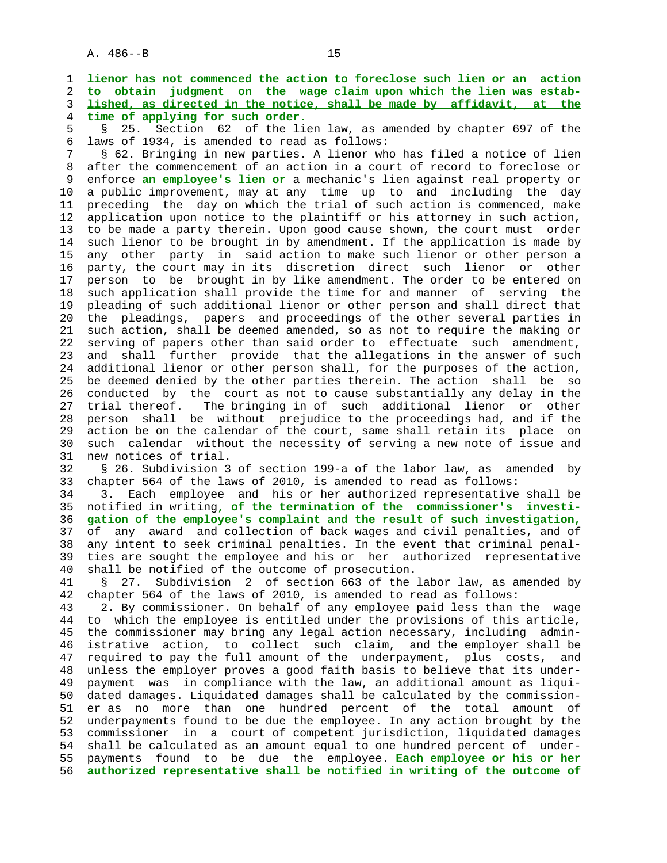A. 486--B 15

 1 **lienor has not commenced the action to foreclose such lien or an action** 2 **to obtain judgment on the wage claim upon which the lien was estab-** 3 **lished, as directed in the notice, shall be made by affidavit, at the** 4 **time of applying for such order.** 5 § 25. Section 62 of the lien law, as amended by chapter 697 of the 6 laws of 1934, is amended to read as follows: 7 § 62. Bringing in new parties. A lienor who has filed a notice of lien 8 after the commencement of an action in a court of record to foreclose or<br>9 enforce an employee's lien or a mechanic's lien against real property or enforce **an employee's lien or** a mechanic's lien against real property or 10 a public improvement, may at any time up to and including the day 11 preceding the day on which the trial of such action is commenced, make 12 application upon notice to the plaintiff or his attorney in such action, 13 to be made a party therein. Upon good cause shown, the court must order 14 such lienor to be brought in by amendment. If the application is made by 15 any other party in said action to make such lienor or other person a 16 party, the court may in its discretion direct such lienor or other 17 person to be brought in by like amendment. The order to be entered on 18 such application shall provide the time for and manner of serving the 19 pleading of such additional lienor or other person and shall direct that 20 the pleadings, papers and proceedings of the other several parties in 21 such action, shall be deemed amended, so as not to require the making or 22 serving of papers other than said order to effectuate such amendment, 23 and shall further provide that the allegations in the answer of such 24 additional lienor or other person shall, for the purposes of the action, 25 be deemed denied by the other parties therein. The action shall be so 26 conducted by the court as not to cause substantially any delay in the 27 trial thereof. The bringing in of such additional lienor or other 28 person shall be without prejudice to the proceedings had, and if the 29 action be on the calendar of the court, same shall retain its place on 30 such calendar without the necessity of serving a new note of issue and 31 new notices of trial. 32 § 26. Subdivision 3 of section 199-a of the labor law, as amended by 33 chapter 564 of the laws of 2010, is amended to read as follows: 34 3. Each employee and his or her authorized representative shall be 35 notified in writing**, of the termination of the commissioner's investi-** 36 **gation of the employee's complaint and the result of such investigation,** 37 of any award and collection of back wages and civil penalties, and of 38 any intent to seek criminal penalties. In the event that criminal penal- 39 ties are sought the employee and his or her authorized representative 40 shall be notified of the outcome of prosecution. 41 § 27. Subdivision 2 of section 663 of the labor law, as amended by 42 chapter 564 of the laws of 2010, is amended to read as follows: 43 2. By commissioner. On behalf of any employee paid less than the wage 44 to which the employee is entitled under the provisions of this article, 45 the commissioner may bring any legal action necessary, including admin- 46 istrative action, to collect such claim, and the employer shall be 47 required to pay the full amount of the underpayment, plus costs, and 48 unless the employer proves a good faith basis to believe that its under- 49 payment was in compliance with the law, an additional amount as liqui- 50 dated damages. Liquidated damages shall be calculated by the commission- 51 er as no more than one hundred percent of the total amount of 52 underpayments found to be due the employee. In any action brought by the 53 commissioner in a court of competent jurisdiction, liquidated damages 54 shall be calculated as an amount equal to one hundred percent of under- 55 payments found to be due the employee. **Each employee or his or her** 56 **authorized representative shall be notified in writing of the outcome of**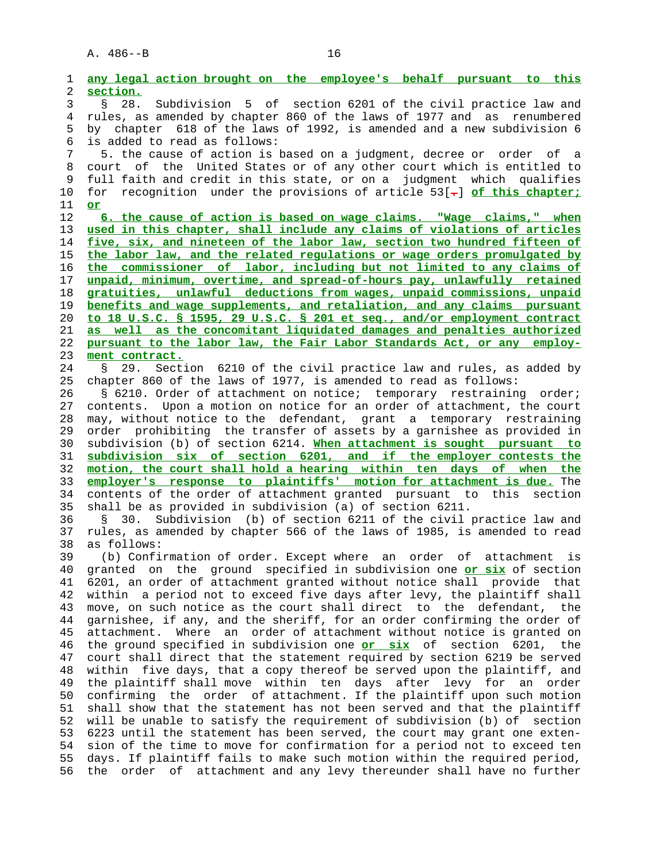1 **any legal action brought on the employee's behalf pursuant to this** 2 **section.** 3 § 28. Subdivision 5 of section 6201 of the civil practice law and 4 rules, as amended by chapter 860 of the laws of 1977 and as renumbered 5 by chapter 618 of the laws of 1992, is amended and a new subdivision 6 6 is added to read as follows: 7 5. the cause of action is based on a judgment, decree or order of a 8 court of the United States or of any other court which is entitled to 9 full faith and credit in this state, or on a judgment which qualifies 10 for recognition under the provisions of article 53[**.**] **of this chapter;** 11 **or** 12 **6. the cause of action is based on wage claims. "Wage claims," when** 13 **used in this chapter, shall include any claims of violations of articles** 14 **five, six, and nineteen of the labor law, section two hundred fifteen of** 15 **the labor law, and the related regulations or wage orders promulgated by** 16 **the commissioner of labor, including but not limited to any claims of** 17 **unpaid, minimum, overtime, and spread-of-hours pay, unlawfully retained** 18 **gratuities, unlawful deductions from wages, unpaid commissions, unpaid** 19 **benefits and wage supplements, and retaliation, and any claims pursuant** 20 **to 18 U.S.C. § 1595, 29 U.S.C. § 201 et seq., and/or employment contract** 21 **as well as the concomitant liquidated damages and penalties authorized** 22 **pursuant to the labor law, the Fair Labor Standards Act, or any employ-** 23 **ment contract.** 24 § 29. Section 6210 of the civil practice law and rules, as added by 25 chapter 860 of the laws of 1977, is amended to read as follows: 26 § 6210. Order of attachment on notice; temporary restraining order; 27 contents. Upon a motion on notice for an order of attachment, the court 28 may, without notice to the defendant, grant a temporary restraining 29 order prohibiting the transfer of assets by a garnishee as provided in 30 subdivision (b) of section 6214. **When attachment is sought pursuant to** 31 **subdivision six of section 6201, and if the employer contests the** 32 **motion, the court shall hold a hearing within ten days of when the** 33 **employer's response to plaintiffs' motion for attachment is due.** The 34 contents of the order of attachment granted pursuant to this section 35 shall be as provided in subdivision (a) of section 6211. 36 § 30. Subdivision (b) of section 6211 of the civil practice law and 37 rules, as amended by chapter 566 of the laws of 1985, is amended to read 38 as follows: 39 (b) Confirmation of order. Except where an order of attachment is 40 granted on the ground specified in subdivision one **or six** of section 41 6201, an order of attachment granted without notice shall provide that 42 within a period not to exceed five days after levy, the plaintiff shall 43 move, on such notice as the court shall direct to the defendant, the 44 garnishee, if any, and the sheriff, for an order confirming the order of 45 attachment. Where an order of attachment without notice is granted on 46 the ground specified in subdivision one **or six** of section 6201, the 47 court shall direct that the statement required by section 6219 be served 48 within five days, that a copy thereof be served upon the plaintiff, and 49 the plaintiff shall move within ten days after levy for an order 50 confirming the order of attachment. If the plaintiff upon such motion 51 shall show that the statement has not been served and that the plaintiff 52 will be unable to satisfy the requirement of subdivision (b) of section 53 6223 until the statement has been served, the court may grant one exten- 54 sion of the time to move for confirmation for a period not to exceed ten 55 days. If plaintiff fails to make such motion within the required period, 56 the order of attachment and any levy thereunder shall have no further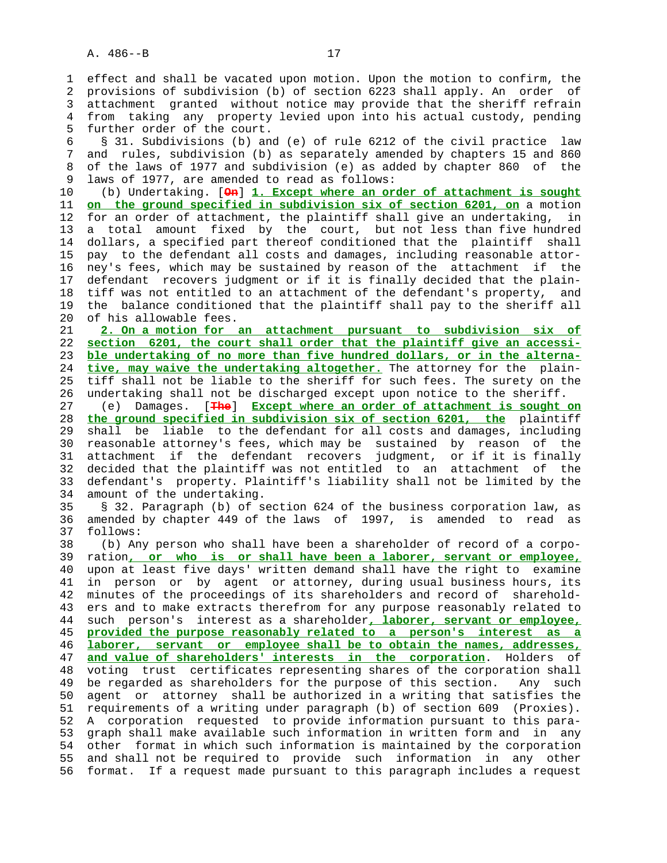1 effect and shall be vacated upon motion. Upon the motion to confirm, the 2 provisions of subdivision (b) of section 6223 shall apply. An order of 3 attachment granted without notice may provide that the sheriff refrain 4 from taking any property levied upon into his actual custody, pending 5 further order of the court.

 6 § 31. Subdivisions (b) and (e) of rule 6212 of the civil practice law 7 and rules, subdivision (b) as separately amended by chapters 15 and 860 8 of the laws of 1977 and subdivision (e) as added by chapter 860 of the laws of 1977, are amended to read as follows:

 10 (b) Undertaking. [**On**] **1. Except where an order of attachment is sought** 11 **on the ground specified in subdivision six of section 6201, on** a motion 12 for an order of attachment, the plaintiff shall give an undertaking, in 13 a total amount fixed by the court, but not less than five hundred 14 dollars, a specified part thereof conditioned that the plaintiff shall 15 pay to the defendant all costs and damages, including reasonable attor- 16 ney's fees, which may be sustained by reason of the attachment if the 17 defendant recovers judgment or if it is finally decided that the plain- 18 tiff was not entitled to an attachment of the defendant's property, and 19 the balance conditioned that the plaintiff shall pay to the sheriff all 20 of his allowable fees.

**2. On a motion for an attachment pursuant to subdivision six of section 6201, the court shall order that the plaintiff give an accessi- ble undertaking of no more than five hundred dollars, or in the alterna- tive, may waive the undertaking altogether.** The attorney for the plain- 25 tiff shall not be liable to the sheriff for such fees. The surety on the 26 undertaking shall not be discharged except upon notice to the sheriff.

 27 (e) Damages. [**The**] **Except where an order of attachment is sought on** 28 **the ground specified in subdivision six of section 6201, the** plaintiff 29 shall be liable to the defendant for all costs and damages, including 30 reasonable attorney's fees, which may be sustained by reason of the 31 attachment if the defendant recovers judgment, or if it is finally 32 decided that the plaintiff was not entitled to an attachment of the 33 defendant's property. Plaintiff's liability shall not be limited by the 34 amount of the undertaking.

 35 § 32. Paragraph (b) of section 624 of the business corporation law, as 36 amended by chapter 449 of the laws of 1997, is amended to read as 37 follows:

 38 (b) Any person who shall have been a shareholder of record of a corpo- 39 ration**, or who is or shall have been a laborer, servant or employee,** 40 upon at least five days' written demand shall have the right to examine 41 in person or by agent or attorney, during usual business hours, its 42 minutes of the proceedings of its shareholders and record of sharehold- 43 ers and to make extracts therefrom for any purpose reasonably related to 44 such person's interest as a shareholder**, laborer, servant or employee,** 45 **provided the purpose reasonably related to a person's interest as a** 46 **laborer, servant or employee shall be to obtain the names, addresses,** 47 **and value of shareholders' interests in the corporation**. Holders of 48 voting trust certificates representing shares of the corporation shall 49 be regarded as shareholders for the purpose of this section. Any such 50 agent or attorney shall be authorized in a writing that satisfies the 51 requirements of a writing under paragraph (b) of section 609 (Proxies). 52 A corporation requested to provide information pursuant to this para- 53 graph shall make available such information in written form and in any 54 other format in which such information is maintained by the corporation 55 and shall not be required to provide such information in any other 56 format. If a request made pursuant to this paragraph includes a request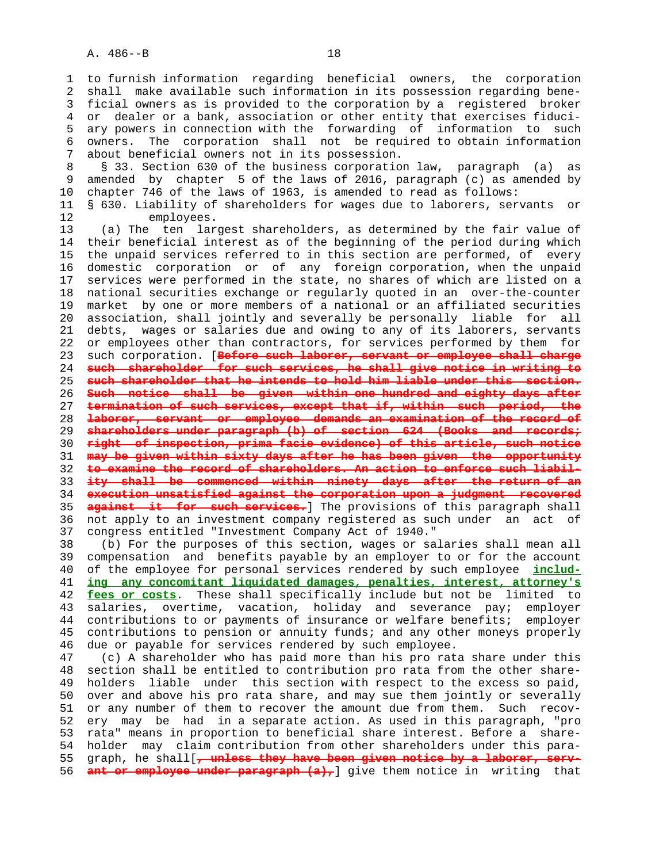1 to furnish information regarding beneficial owners, the corporation 2 shall make available such information in its possession regarding bene- 3 ficial owners as is provided to the corporation by a registered broker 4 or dealer or a bank, association or other entity that exercises fiduci- 5 ary powers in connection with the forwarding of information to such 6 owners. The corporation shall not be required to obtain information 7 about beneficial owners not in its possession.

 8 § 33. Section 630 of the business corporation law, paragraph (a) as amended by chapter 5 of the laws of 2016, paragraph (c) as amended by 10 chapter 746 of the laws of 1963, is amended to read as follows:

 11 § 630. Liability of shareholders for wages due to laborers, servants or 12 employees.

 13 (a) The ten largest shareholders, as determined by the fair value of 14 their beneficial interest as of the beginning of the period during which 15 the unpaid services referred to in this section are performed, of every 16 domestic corporation or of any foreign corporation, when the unpaid 17 services were performed in the state, no shares of which are listed on a 18 national securities exchange or regularly quoted in an over-the-counter 19 market by one or more members of a national or an affiliated securities 20 association, shall jointly and severally be personally liable for all 21 debts, wages or salaries due and owing to any of its laborers, servants 22 or employees other than contractors, for services performed by them for 23 such corporation. [**Before such laborer, servant or employee shall charge** 24 **such shareholder for such services, he shall give notice in writing to** 25 **such shareholder that he intends to hold him liable under this section.** 26 **Such notice shall be given within one hundred and eighty days after** 27 **termination of such services, except that if, within such period, the** 28 **laborer, servant or employee demands an examination of the record of** 29 **shareholders under paragraph (b) of section 624 (Books and records;** 30 **right of inspection, prima facie evidence) of this article, such notice** 31 **may be given within sixty days after he has been given the opportunity** 32 **to examine the record of shareholders. An action to enforce such liabil-** 33 **ity shall be commenced within ninety days after the return of an** 34 **execution unsatisfied against the corporation upon a judgment recovered** 35 **against it for such services.**] The provisions of this paragraph shall 36 not apply to an investment company registered as such under an act of

37 congress entitled "Investment Company Act of 1940."

 38 (b) For the purposes of this section, wages or salaries shall mean all 39 compensation and benefits payable by an employer to or for the account 40 of the employee for personal services rendered by such employee **includ-** 41 **ing any concomitant liquidated damages, penalties, interest, attorney's** 42 **fees or costs**. These shall specifically include but not be limited to 43 salaries, overtime, vacation, holiday and severance pay; employer 44 contributions to or payments of insurance or welfare benefits; employer 45 contributions to pension or annuity funds; and any other moneys properly 46 due or payable for services rendered by such employee.

 47 (c) A shareholder who has paid more than his pro rata share under this 48 section shall be entitled to contribution pro rata from the other share- 49 holders liable under this section with respect to the excess so paid, 50 over and above his pro rata share, and may sue them jointly or severally 51 or any number of them to recover the amount due from them. Such recov- 52 ery may be had in a separate action. As used in this paragraph, "pro 53 rata" means in proportion to beneficial share interest. Before a share- 54 holder may claim contribution from other shareholders under this para- 55 graph, he shall[**, unless they have been given notice by a laborer, serv-** 56 **ant or employee under paragraph (a),** give them notice in writing that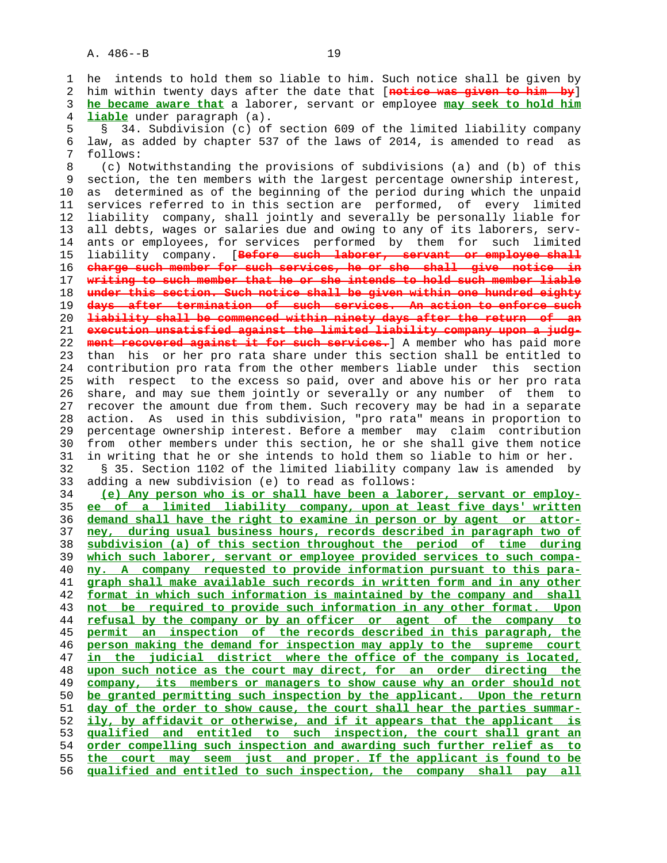1 he intends to hold them so liable to him. Such notice shall be given by

 2 him within twenty days after the date that [**notice was given to him by**] 3 **he became aware that** a laborer, servant or employee **may seek to hold him** 4 **liable** under paragraph (a).

 5 § 34. Subdivision (c) of section 609 of the limited liability company 6 law, as added by chapter 537 of the laws of 2014, is amended to read as 7 follows:

8 (c) Notwithstanding the provisions of subdivisions (a) and (b) of this<br>9 section, the ten members with the largest percentage ownership interest, section, the ten members with the largest percentage ownership interest, 10 as determined as of the beginning of the period during which the unpaid 11 services referred to in this section are performed, of every limited 12 liability company, shall jointly and severally be personally liable for 13 all debts, wages or salaries due and owing to any of its laborers, serv- 14 ants or employees, for services performed by them for such limited 15 liability company. [**Before such laborer, servant or employee shall** 16 **charge such member for such services, he or she shall give notice in** 17 **writing to such member that he or she intends to hold such member liable** 18 **under this section. Such notice shall be given within one hundred eighty** 19 **days after termination of such services. An action to enforce such** 20 **liability shall be commenced within ninety days after the return of an** 21 **execution unsatisfied against the limited liability company upon a judg-** 22 **ment recovered against it for such services.**] A member who has paid more 23 than his or her pro rata share under this section shall be entitled to 24 contribution pro rata from the other members liable under this section 25 with respect to the excess so paid, over and above his or her pro rata 26 share, and may sue them jointly or severally or any number of them to 27 recover the amount due from them. Such recovery may be had in a separate 28 action. As used in this subdivision, "pro rata" means in proportion to 29 percentage ownership interest. Before a member may claim contribution 30 from other members under this section, he or she shall give them notice 31 in writing that he or she intends to hold them so liable to him or her. 32 § 35. Section 1102 of the limited liability company law is amended by 33 adding a new subdivision (e) to read as follows:

**(e) Any person who is or shall have been a laborer, servant or employ- ee of a limited liability company, upon at least five days' written demand shall have the right to examine in person or by agent or attor- ney, during usual business hours, records described in paragraph two of subdivision (a) of this section throughout the period of time during which such laborer, servant or employee provided services to such compa- ny. A company requested to provide information pursuant to this para- graph shall make available such records in written form and in any other format in which such information is maintained by the company and shall not be required to provide such information in any other format. Upon refusal by the company or by an officer or agent of the company to permit an inspection of the records described in this paragraph, the person making the demand for inspection may apply to the supreme court in the judicial district where the office of the company is located, upon such notice as the court may direct, for an order directing the company, its members or managers to show cause why an order should not be granted permitting such inspection by the applicant. Upon the return day of the order to show cause, the court shall hear the parties summar- ily, by affidavit or otherwise, and if it appears that the applicant is qualified and entitled to such inspection, the court shall grant an order compelling such inspection and awarding such further relief as to the court may seem just and proper. If the applicant is found to be qualified and entitled to such inspection, the company shall pay all**